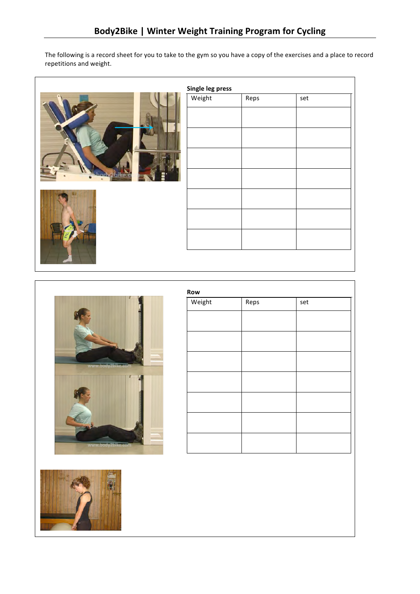The following is a record sheet for you to take to the gym so you have a copy of the exercises and a place to record repetitions
and
weight.

| Single leg press |      |     |
|------------------|------|-----|
| Weight           | Reps | set |
|                  |      |     |
|                  |      |     |
|                  |      |     |
|                  |      |     |
|                  |      |     |
|                  |      |     |
|                  |      |     |
|                  |      |     |



<u>and the second second in the second second in the second second in the second second in the second second in the second second in the second second in the second second in the second second in the second second in the sec</u>



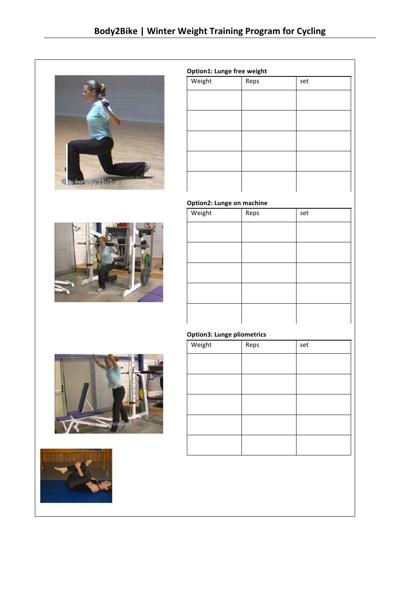

| Weight | Reps | set |  |
|--------|------|-----|--|
|        |      |     |  |
|        |      |     |  |
|        |      |     |  |
|        |      |     |  |
|        |      |     |  |
|        |      |     |  |
|        |      |     |  |
|        |      |     |  |

#### **Option2:
Lunge
on
machine**



| Weight | Reps | set |
|--------|------|-----|
|        |      |     |
|        |      |     |
|        |      |     |
|        |      |     |
|        |      |     |

## **Option3:
Lunge
pliometrics**





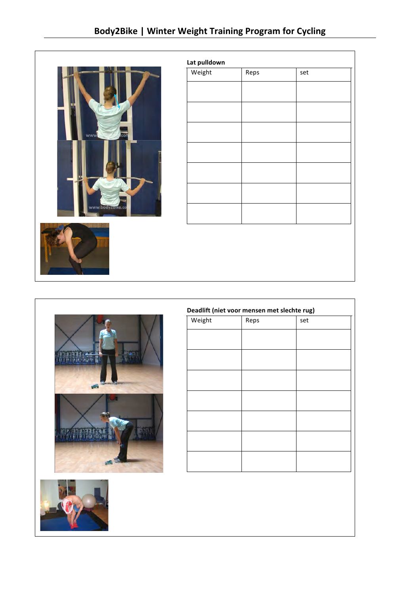

| Weight | Reps | set |  |
|--------|------|-----|--|
|        |      |     |  |
|        |      |     |  |
|        |      |     |  |
|        |      |     |  |
|        |      |     |  |
|        |      |     |  |
|        |      |     |  |
|        |      |     |  |
|        |      |     |  |
|        |      |     |  |
|        |      |     |  |
|        |      |     |  |
|        |      |     |  |
|        |      |     |  |
|        |      |     |  |
|        |      |     |  |





| Reps | set |
|------|-----|
|      |     |
|      |     |
|      |     |
|      |     |
|      |     |
|      |     |
|      |     |
|      |     |
|      |     |
|      |     |
|      |     |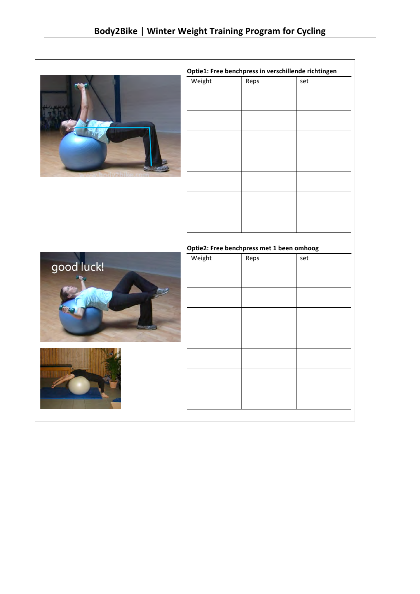

| Optie1: Free benchpress in verschillende richtingen |      |     |  |
|-----------------------------------------------------|------|-----|--|
| Weight                                              | Reps | set |  |
|                                                     |      |     |  |
|                                                     |      |     |  |
|                                                     |      |     |  |
|                                                     |      |     |  |
|                                                     |      |     |  |
|                                                     |      |     |  |
|                                                     |      |     |  |
|                                                     |      |     |  |
|                                                     |      |     |  |
|                                                     |      |     |  |
|                                                     |      |     |  |
|                                                     |      |     |  |
|                                                     |      |     |  |

### **Optie2:
Free
benchpress
met
1
been
omhoog** Weight Reps set



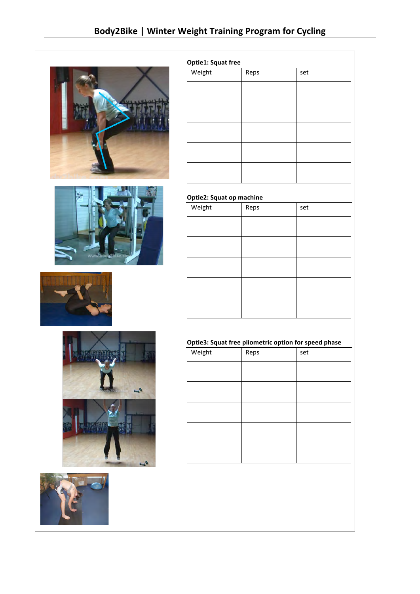









### **Optie1:
Squat
free**

| Weight | Reps | set |  |
|--------|------|-----|--|
|        |      |     |  |
|        |      |     |  |
|        |      |     |  |
|        |      |     |  |
|        |      |     |  |
|        |      |     |  |
|        |      |     |  |
|        |      |     |  |
|        |      |     |  |
|        |      |     |  |
|        |      |     |  |
|        |      |     |  |
|        |      |     |  |
|        |      |     |  |
|        |      |     |  |

# **Optie2:
Squat
op
machine**

| Weight | Reps | set |
|--------|------|-----|
|        |      |     |
|        |      |     |
|        |      |     |
|        |      |     |
|        |      |     |

# **Optie3:
Squat
free
pliometric
option
for
speed
phase**

| Weight | Reps | set |
|--------|------|-----|
|        |      |     |
|        |      |     |
|        |      |     |
|        |      |     |
|        |      |     |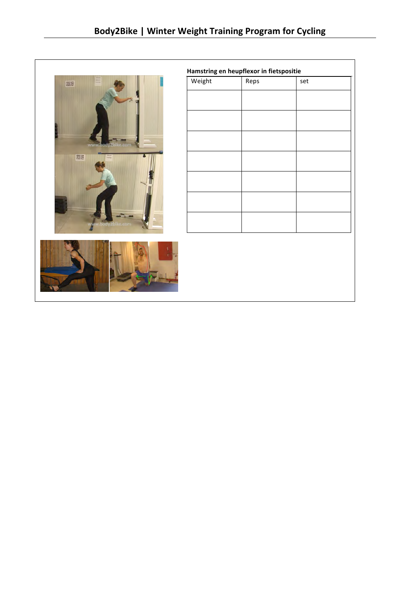



**Hamstring
en
heupflexor
in
fietspositie**